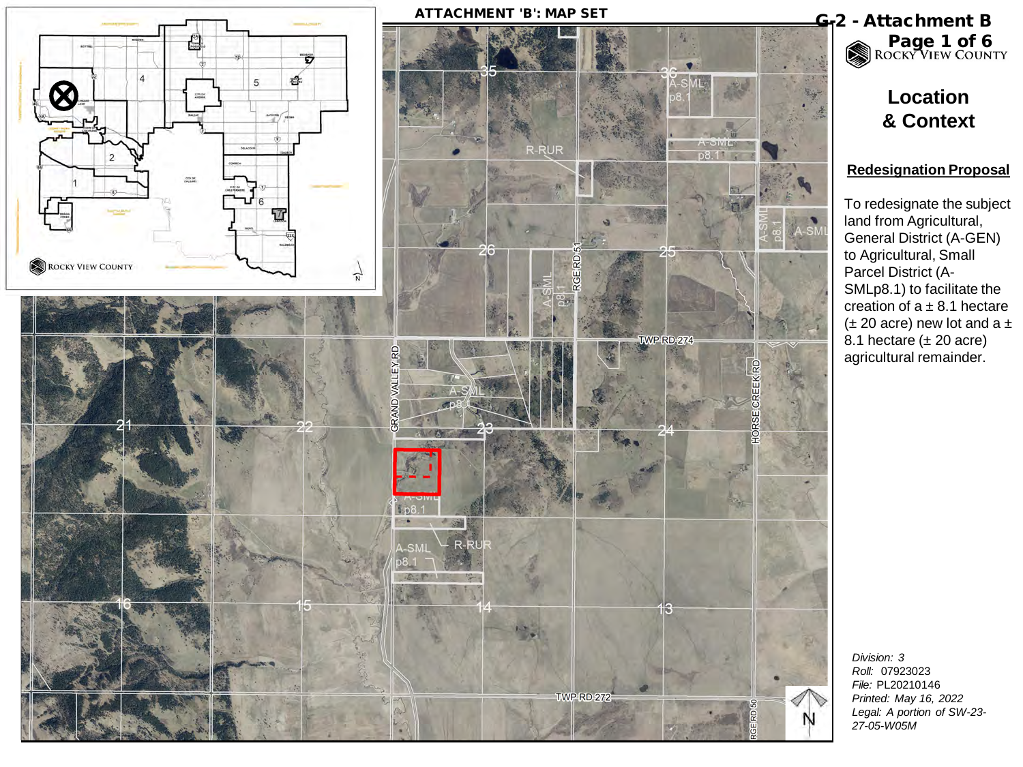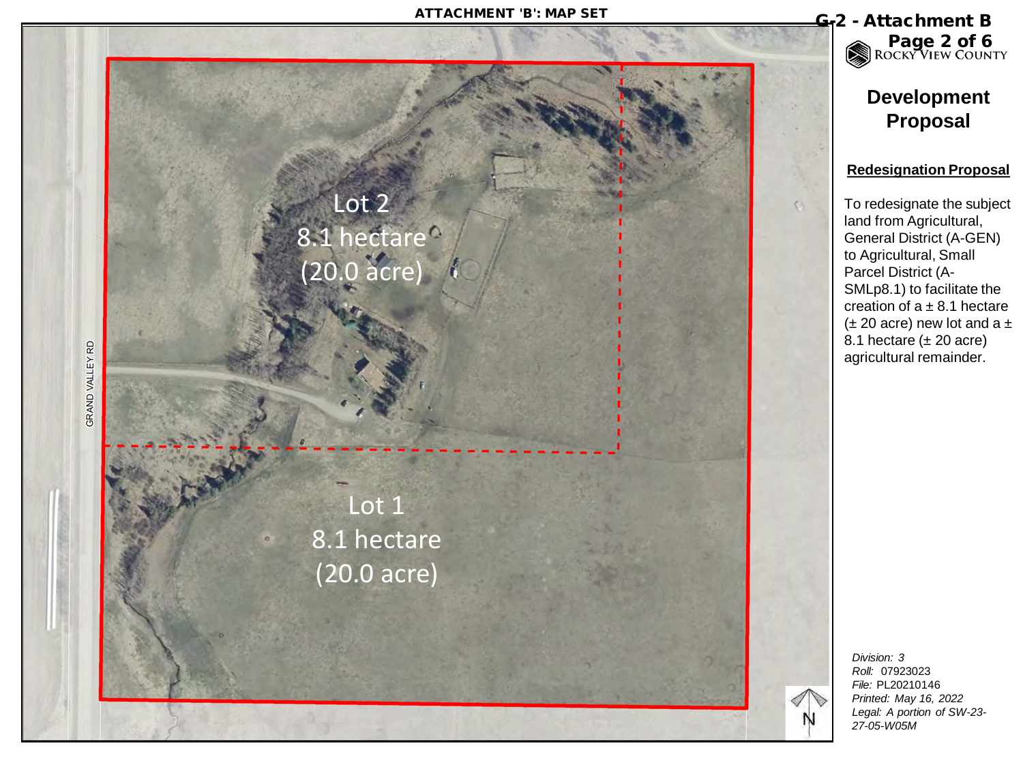## ATTACHMENT 'B': MAP SET<br>
G-2 - Attachment B



Page 2 of 6

# **Development Proposal**

#### **Redesignation Proposal**

To redesignate the subject land from Agricultural, General District (A-GEN) to Agricultural, Small Parcel District (A - SMLp8.1) to facilitate the creation of a ± 8.1 hectare ( $\pm$  20 acre) new lot and a  $\pm$ 8.1 hectare ( ± 20 acre) agricultural remainder.

*Division: 3 Roll:* 07923023 *File:* PL20210146 *Printed: May 16, 2022 Legal: A portion of SW-23 - 27-05 -W05M*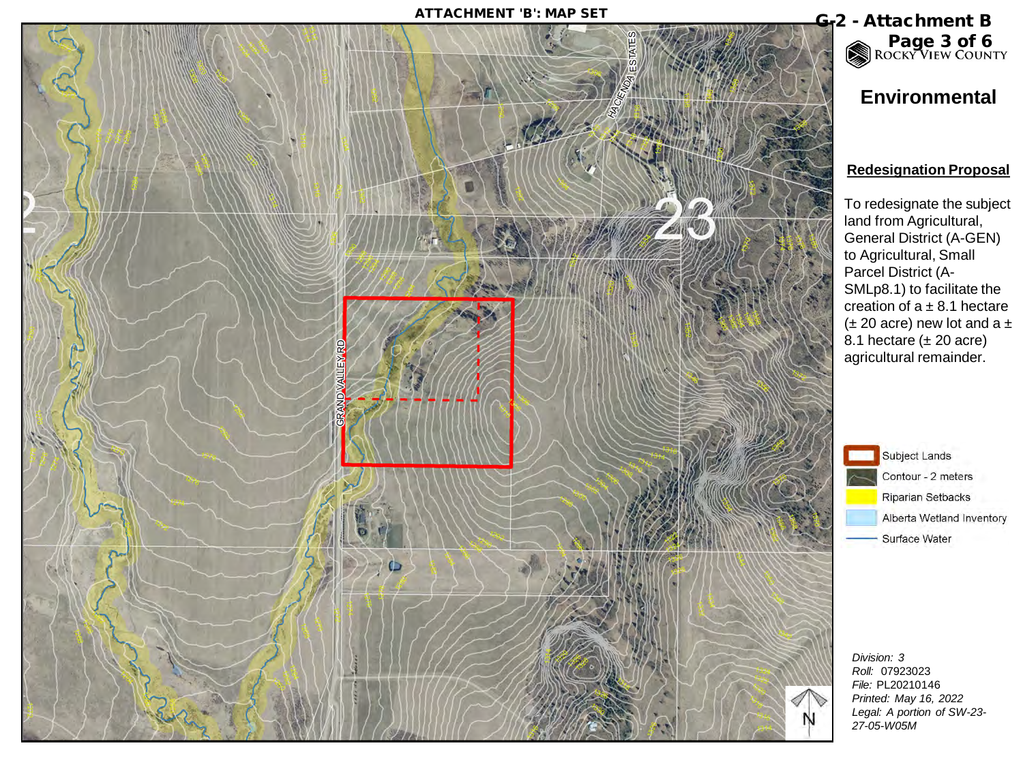

# Page 3 of 6

# **Environmental**

### **Redesignation Proposal**

To redesignate the subject land from Agricultural, General District (A-GEN) to Agricultural, Small Parcel District (A-SMLp8.1) to facilitate the creation of  $a \pm 8.1$  hectare  $(\pm 20 \text{ acre})$  new lot and a  $\pm$ 8.1 hectare  $(\pm 20 \text{ acre})$ agricultural remainder.

> Subject Lands Contour - 2 meters Riparian Setbacks Alberta Wetland Inventory Surface Water

*Division: 3 Roll:* 07923023 *File:* PL20210146 *Printed: May 16, 2022 Legal: A portion of SW-23- 27-05-W05M*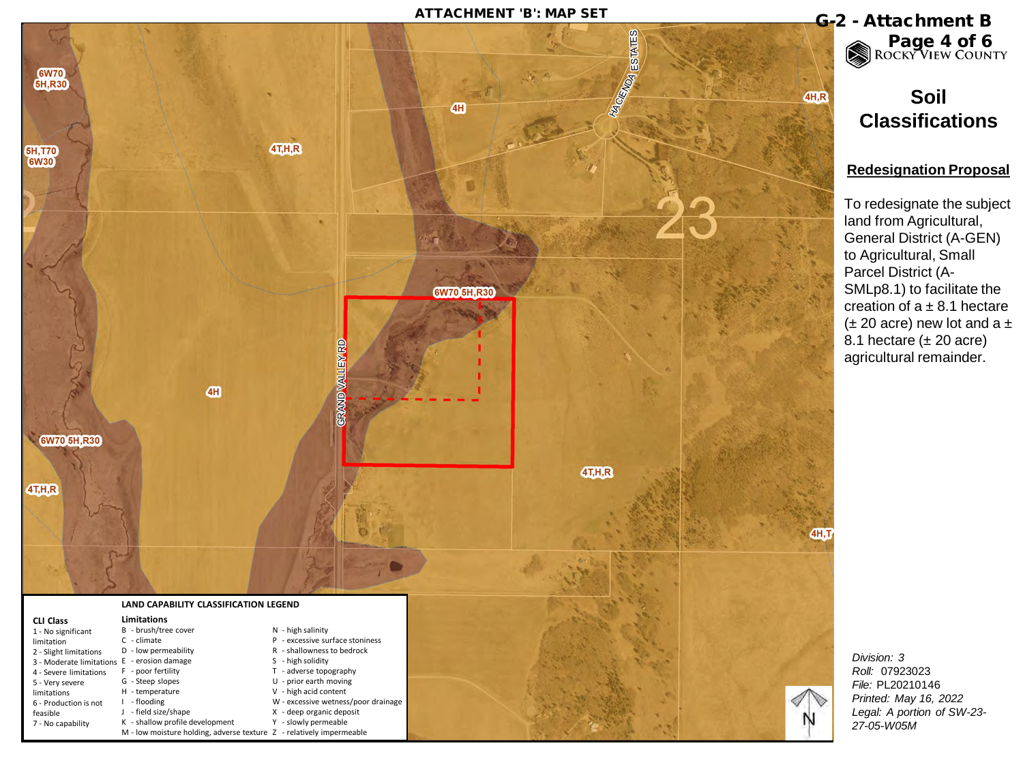

Page 4 of 6

# **Soil Classifications**

#### **Redesignation Proposal**

To redesignate the subject land from Agricultural, General District (A-GEN) to Agricultural, Small Parcel District (A-SMLp8.1) to facilitate the creation of  $a \pm 8.1$  hectare  $(\pm 20 \text{ acre})$  new lot and a  $\pm$ 8.1 hectare  $(\pm 20 \text{ acre})$ agricultural remainder.

*Division: 3 Roll:* 07923023 *File:* PL20210146 *Printed: May 16, 2022 Legal: A portion of SW-23- 27-05-W05M*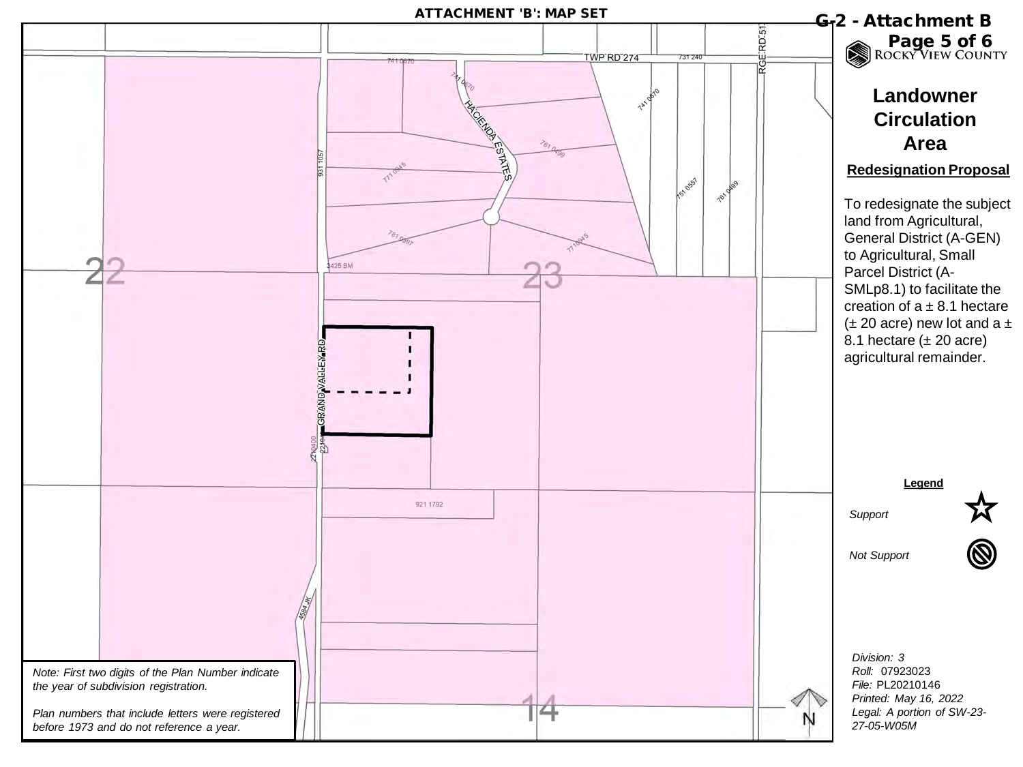